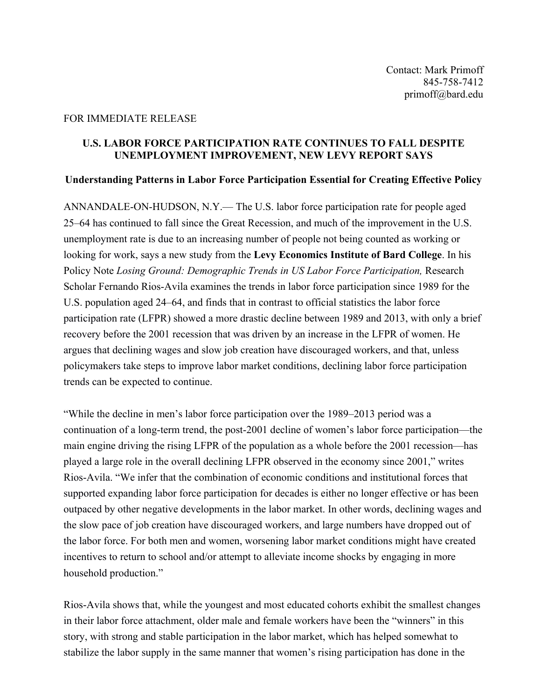## FOR IMMEDIATE RELEASE

### **U.S. LABOR FORCE PARTICIPATION RATE CONTINUES TO FALL DESPITE UNEMPLOYMENT IMPROVEMENT, NEW LEVY REPORT SAYS**

## **Understanding Patterns in Labor Force Participation Essential for Creating Effective Policy**

ANNANDALE-ON-HUDSON, N.Y.— The U.S. labor force participation rate for people aged 25–64 has continued to fall since the Great Recession, and much of the improvement in the U.S. unemployment rate is due to an increasing number of people not being counted as working or looking for work, says a new study from the **Levy Economics Institute of Bard College**. In his Policy Note *Losing Ground: Demographic Trends in US Labor Force Participation,* Research Scholar Fernando Rios-Avila examines the trends in labor force participation since 1989 for the U.S. population aged 24–64, and finds that in contrast to official statistics the labor force participation rate (LFPR) showed a more drastic decline between 1989 and 2013, with only a brief recovery before the 2001 recession that was driven by an increase in the LFPR of women. He argues that declining wages and slow job creation have discouraged workers, and that, unless policymakers take steps to improve labor market conditions, declining labor force participation trends can be expected to continue.

"While the decline in men's labor force participation over the 1989–2013 period was a continuation of a long-term trend, the post-2001 decline of women's labor force participation—the main engine driving the rising LFPR of the population as a whole before the 2001 recession—has played a large role in the overall declining LFPR observed in the economy since 2001," writes Rios-Avila. "We infer that the combination of economic conditions and institutional forces that supported expanding labor force participation for decades is either no longer effective or has been outpaced by other negative developments in the labor market. In other words, declining wages and the slow pace of job creation have discouraged workers, and large numbers have dropped out of the labor force. For both men and women, worsening labor market conditions might have created incentives to return to school and/or attempt to alleviate income shocks by engaging in more household production."

Rios-Avila shows that, while the youngest and most educated cohorts exhibit the smallest changes in their labor force attachment, older male and female workers have been the "winners" in this story, with strong and stable participation in the labor market, which has helped somewhat to stabilize the labor supply in the same manner that women's rising participation has done in the